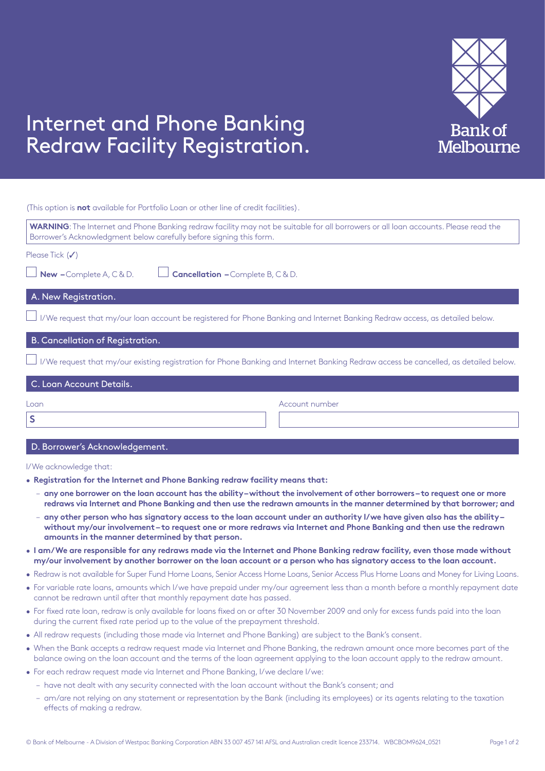

## Internet and Phone Banking Redraw Facility Registration.

(This option is **not** available for Portfolio Loan or other line of credit facilities).

| WARNING: The Internet and Phone Banking redraw facility may not be suitable for all borrowers or all loan accounts. Please read the<br>Borrower's Acknowledgment below carefully before signing this form. |                |  |
|------------------------------------------------------------------------------------------------------------------------------------------------------------------------------------------------------------|----------------|--|
| Please Tick $(\checkmark)$                                                                                                                                                                                 |                |  |
| New -Complete A, C & D.<br><b>Cancellation - Complete B, C &amp; D.</b>                                                                                                                                    |                |  |
| A. New Registration.                                                                                                                                                                                       |                |  |
| I/We request that my/our loan account be registered for Phone Banking and Internet Banking Redraw access, as detailed below.                                                                               |                |  |
| B. Cancellation of Registration.                                                                                                                                                                           |                |  |
| I/We request that my/our existing registration for Phone Banking and Internet Banking Redraw access be cancelled, as detailed below.                                                                       |                |  |
| C. Loan Account Details.                                                                                                                                                                                   |                |  |
| Loan                                                                                                                                                                                                       | Account number |  |
| S                                                                                                                                                                                                          |                |  |
| D. Borrower's Acknowledgement.                                                                                                                                                                             |                |  |

I/We acknowledge that:

- **Registration for the Internet and Phone Banking redraw facility means that:**
	- **any one borrower on the loan account has the ability without the involvement of other borrowers to request one or more redraws via Internet and Phone Banking and then use the redrawn amounts in the manner determined by that borrower; and**
	- **any other person who has signatory access to the loan account under an authority I/we have given also has the ability without my/our involvement – to request one or more redraws via Internet and Phone Banking and then use the redrawn amounts in the manner determined by that person.**
- **I am/We are responsible for any redraws made via the Internet and Phone Banking redraw facility, even those made without my/our involvement by another borrower on the loan account or a person who has signatory access to the loan account.**
- Redraw is not available for Super Fund Home Loans, Senior Access Home Loans, Senior Access Plus Home Loans and Money for Living Loans.
- For variable rate loans, amounts which I/we have prepaid under my/our agreement less than a month before a monthly repayment date cannot be redrawn until after that monthly repayment date has passed.
- For fixed rate loan, redraw is only available for loans fixed on or after 30 November 2009 and only for excess funds paid into the loan during the current fixed rate period up to the value of the prepayment threshold.
- All redraw requests (including those made via Internet and Phone Banking) are subject to the Bank's consent.
- When the Bank accepts a redraw request made via Internet and Phone Banking, the redrawn amount once more becomes part of the balance owing on the loan account and the terms of the loan agreement applying to the loan account apply to the redraw amount.
- For each redraw request made via Internet and Phone Banking, I/we declare I/we:
	- have not dealt with any security connected with the loan account without the Bank's consent; and
	- am/are not relying on any statement or representation by the Bank (including its employees) or its agents relating to the taxation effects of making a redraw.